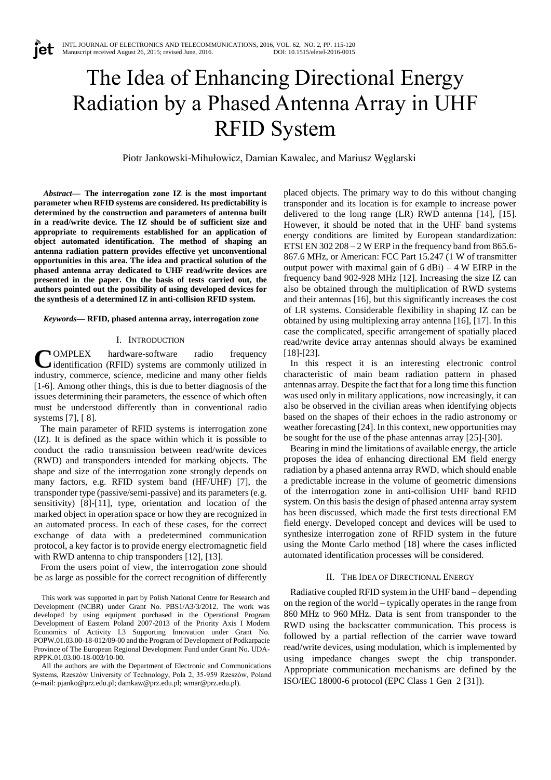# The Idea of Enhancing Directional Energy Radiation by a Phased Antenna Array in UHF RFID System

Piotr Jankowski-Mihułowicz, Damian Kawalec, and Mariusz Węglarski

*Abstract***— The interrogation zone IZ is the most important parameter when RFID systems are considered. Its predictability is determined by the construction and parameters of antenna built in a read/write device. The IZ should be of sufficient size and appropriate to requirements established for an application of object automated identification. The method of shaping an antenna radiation pattern provides effective yet unconventional opportunities in this area. The idea and practical solution of the phased antenna array dedicated to UHF read/write devices are presented in the paper. On the basis of tests carried out, the authors pointed out the possibility of using developed devices for the synthesis of a determined IZ in anti-collision RFID system.**

#### *Keywords***— RFID, phased antenna array, interrogation zone**

## I. INTRODUCTION

OMPLEX hardware-software radio frequency identification (RFID) systems are commonly utilized in industry, commerce, science, medicine and many other fields [1-6]. Among other things, this is due to better diagnosis of the issues determining their parameters, the essence of which often must be understood differently than in conventional radio systems [7], [ 8]. **C**

The main parameter of RFID systems is interrogation zone (IZ). It is defined as the space within which it is possible to conduct the radio transmission between read/write devices (RWD) and transponders intended for marking objects. The shape and size of the interrogation zone strongly depends on many factors, e.g. RFID system band (HF/UHF) [7], the transponder type (passive/semi-passive) and its parameters (e.g. sensitivity) [8]-[11], type, orientation and location of the marked object in operation space or how they are recognized in an automated process. In each of these cases, for the correct exchange of data with a predetermined communication protocol, a key factor is to provide energy electromagnetic field with RWD antenna to chip transponders [12], [13].

From the users point of view, the interrogation zone should be as large as possible for the correct recognition of differently

placed objects. The primary way to do this without changing transponder and its location is for example to increase power delivered to the long range (LR) RWD antenna [14], [15]. However, it should be noted that in the UHF band systems energy conditions are limited by European standardization: ETSI EN 302 208 – 2 W ERP in the frequency band from 865.6- 867.6 MHz, or American: FCC Part 15.247 (1 W of transmitter output power with maximal gain of  $6$  dBi) – 4 W EIRP in the frequency band 902-928 MHz [12]. Increasing the size IZ can also be obtained through the multiplication of RWD systems and their antennas [16], but this significantly increases the cost of LR systems. Considerable flexibility in shaping IZ can be obtained by using multiplexing array antenna [16], [17]. In this case the complicated, specific arrangement of spatially placed read/write device array antennas should always be examined [18]-[23].

In this respect it is an interesting electronic control characteristic of main beam radiation pattern in phased antennas array. Despite the fact that for a long time this function was used only in military applications, now increasingly, it can also be observed in the civilian areas when identifying objects based on the shapes of their echoes in the radio astronomy or weather forecasting [24]. In this context, new opportunities may be sought for the use of the phase antennas array [25]-[30].

Bearing in mind the limitations of available energy, the article proposes the idea of enhancing directional EM field energy radiation by a phased antenna array RWD, which should enable a predictable increase in the volume of geometric dimensions of the interrogation zone in anti-collision UHF band RFID system. On this basis the design of phased antenna array system has been discussed, which made the first tests directional EM field energy. Developed concept and devices will be used to synthesize interrogation zone of RFID system in the future using the Monte Carlo method [18] where the cases inflicted automated identification processes will be considered.

## II. THE IDEA OF DIRECTIONAL ENERGY

Radiative coupled RFID system in the UHF band – depending on the region of the world – typically operates in the range from 860 MHz to 960 MHz. Data is sent from transponder to the RWD using the backscatter communication. This process is followed by a partial reflection of the carrier wave toward read/write devices, using modulation, which is implemented by using impedance changes swept the chip transponder. Appropriate communication mechanisms are defined by the ISO/IEC 18000-6 protocol (EPC Class 1 Gen 2 [31]).

This work was supported in part by Polish National Centre for Research and Development (NCBR) under Grant No. PBS1/A3/3/2012. The work was developed by using equipment purchased in the Operational Program Development of Eastern Poland 2007-2013 of the Priority Axis I Modern Economics of Activity I.3 Supporting Innovation under Grant No. POPW.01.03.00-18-012/09-00 and the Program of Development of Podkarpacie Province of The European Regional Development Fund under Grant No. UDA-RPPK.01.03.00-18-003/10-00.

All the authors are with the Department of Electronic and Communications Systems, Rzeszów University of Technology, Pola 2, 35-959 Rzeszów, Poland (e-mail[: pjanko@prz.edu.pl;](mailto:pjanko@prz.edu.pl) [damkaw@prz.edu.pl;](mailto:damkaw@prz.edu.pl) wmar@prz.edu.pl).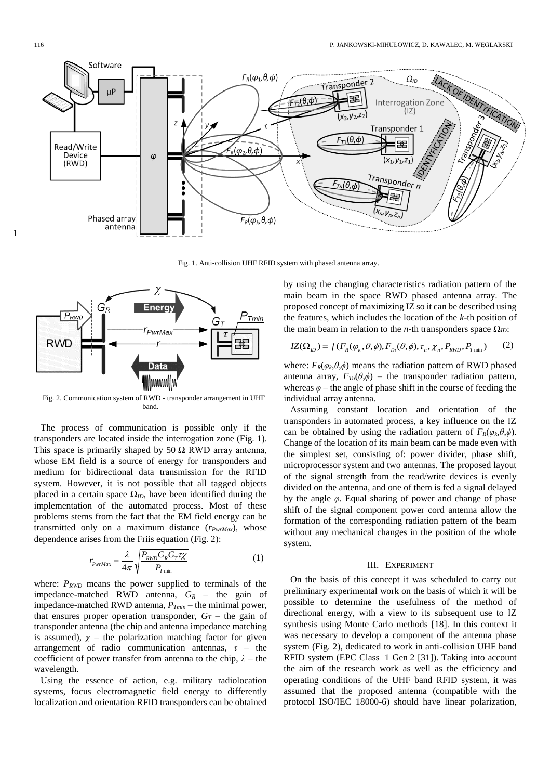

Fig. 1. Anti-collision UHF RFID system with phased antenna array.



Fig. 2. Communication system of RWD - transponder arrangement in UHF band.

The process of communication is possible only if the transponders are located inside the interrogation zone (Fig. 1). This space is primarily shaped by 50  $\Omega$  RWD array antenna, whose EM field is a source of energy for transponders and medium for bidirectional data transmission for the RFID system. However, it is not possible that all tagged objects placed in a certain space  $\Omega_{ID}$ , have been identified during the implementation of the automated process. Most of these problems stems from the fact that the EM field energy can be transmitted only on a maximum distance (*rPwrMax*), whose dependence arises from the Friis equation (Fig. 2):

$$
r_{PwrMax} = \frac{\lambda}{4\pi} \sqrt{\frac{P_{RWD}G_R G_T \tau \chi}{P_{T_{min}}}}
$$
(1)

where: *PRWD* means the power supplied to terminals of the impedance-matched RWD antenna, *G<sup>R</sup>* – the gain of impedance-matched RWD antenna, *PTmin* – the minimal power, that ensures proper operation transponder,  $G_T$  – the gain of transponder antenna (the chip and antenna impedance matching is assumed),  $\chi$  – the polarization matching factor for given arrangement of radio communication antennas, *τ* – the coefficient of power transfer from antenna to the chip,  $\lambda$  – the wavelength.

Using the essence of action, e.g. military radiolocation systems, focus electromagnetic field energy to differently localization and orientation RFID transponders can be obtained by using the changing characteristics radiation pattern of the main beam in the space RWD phased antenna array. The proposed concept of maximizing IZ so it can be described using the features, which includes the location of the *k*-th position of the main beam in relation to the *n*-th transponders space *ΩID*:

$$
IZ(\Omega_{ID}) = f(F_R(\varphi_k, \theta, \phi), F_{T_n}(\theta, \phi), \tau_n, \chi_n, P_{RWD}, P_{T\min})
$$
 (2)

where:  $F_R(\varphi_k, \theta, \phi)$  means the radiation pattern of RWD phased antenna array,  $F_{Tn}(\theta, \phi)$  – the transponder radiation pattern, whereas  $\varphi$  – the angle of phase shift in the course of feeding the individual array antenna.

Assuming constant location and orientation of the transponders in automated process, a key influence on the IZ can be obtained by using the radiation pattern of  $F_R(\varphi_k, \theta, \phi)$ . Change of the location of its main beam can be made even with the simplest set, consisting of: power divider, phase shift, microprocessor system and two antennas. The proposed layout of the signal strength from the read/write devices is evenly divided on the antenna, and one of them is fed a signal delayed by the angle *φ*. Equal sharing of power and change of phase shift of the signal component power cord antenna allow the formation of the corresponding radiation pattern of the beam without any mechanical changes in the position of the whole system.

#### III. EXPERIMENT

On the basis of this concept it was scheduled to carry out preliminary experimental work on the basis of which it will be possible to determine the usefulness of the method of directional energy, with a view to its subsequent use to IZ synthesis using Monte Carlo methods [18]. In this context it was necessary to develop a component of the antenna phase system (Fig. 2), dedicated to work in anti-collision UHF band RFID system (EPC Class 1 Gen 2 [31]). Taking into account the aim of the research work as well as the efficiency and operating conditions of the UHF band RFID system, it was assumed that the proposed antenna (compatible with the protocol ISO/IEC 18000-6) should have linear polarization,

1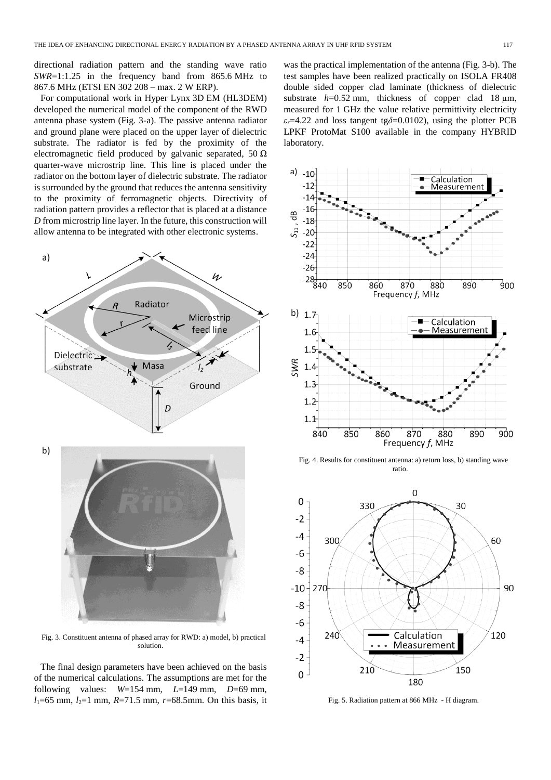directional radiation pattern and the standing wave ratio *SWR*=1:1.25 in the frequency band from 865.6 MHz to 867.6 MHz (ETSI EN 302 208 – max. 2 W ERP).

For computational work in Hyper Lynx 3D EM (HL3DEM) developed the numerical model of the component of the RWD antenna phase system (Fig. 3-a). The passive antenna radiator and ground plane were placed on the upper layer of dielectric substrate. The radiator is fed by the proximity of the electromagnetic field produced by galvanic separated, 50  $\Omega$ quarter-wave microstrip line. This line is placed under the radiator on the bottom layer of dielectric substrate. The radiator is surrounded by the ground that reduces the antenna sensitivity to the proximity of ferromagnetic objects. Directivity of radiation pattern provides a reflector that is placed at a distance *D* from microstrip line layer. In the future, this construction will allow antenna to be integrated with other electronic systems.



Fig. 3. Constituent antenna of phased array for RWD: a) model, b) practical solution.

The final design parameters have been achieved on the basis of the numerical calculations. The assumptions are met for the following values: *W*=154 mm, *L*=149 mm, *D*=69 mm,  $l_1$ =65 mm,  $l_2$ =1 mm,  $R$ =71.5 mm,  $r$ =68.5mm. On this basis, it

was the practical implementation of the antenna (Fig. 3-b). The test samples have been realized practically on ISOLA FR408 double sided copper clad laminate (thickness of dielectric substrate  $h=0.52$  mm, thickness of copper clad 18  $\mu$ m, measured for 1 GHz the value relative permittivity electricity  $\varepsilon_r$ =4.22 and loss tangent tg $\delta$ =0.0102), using the plotter PCB LPKF ProtoMat S100 available in the company HYBRID laboratory.



Fig. 4. Results for constituent antenna: a) return loss, b) standing wave ratio.



Fig. 5. Radiation pattern at 866 MHz - H diagram.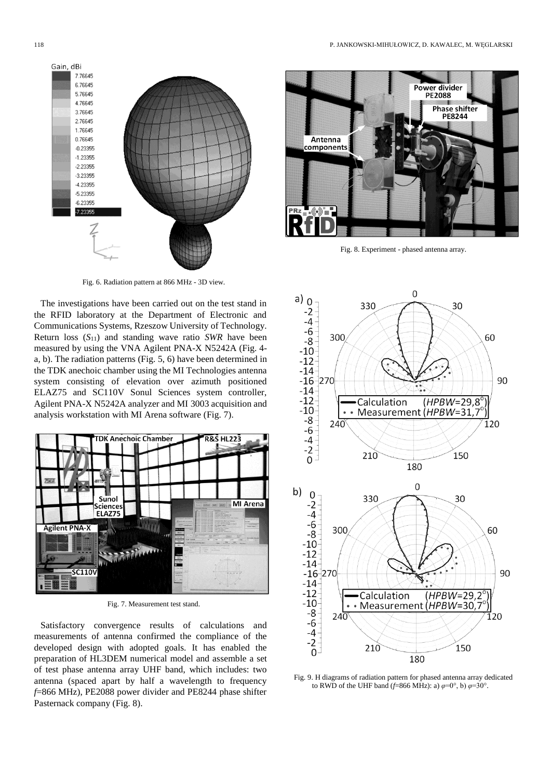

Fig. 6. Radiation pattern at 866 MHz - 3D view.

The investigations have been carried out on the test stand in the RFID laboratory at the Department of Electronic and Communications Systems, Rzeszow University of Technology. Return loss (*S*11) and standing wave ratio *SWR* have been measured by using the VNA Agilent PNA-X N5242A (Fig. 4 a, b). The radiation patterns (Fig. 5, 6) have been determined in the TDK anechoic chamber using the MI Technologies antenna system consisting of elevation over azimuth positioned ELAZ75 and SC110V Sonul Sciences system controller, Agilent PNA-X N5242A analyzer and MI 3003 acquisition and analysis workstation with MI Arena software (Fig. 7).



Fig. 7. Measurement test stand.

Satisfactory convergence results of calculations and measurements of antenna confirmed the compliance of the developed design with adopted goals. It has enabled the preparation of HL3DEM numerical model and assemble a set of test phase antenna array UHF band, which includes: two antenna (spaced apart by half a wavelength to frequency *f*=866 MHz), PE2088 power divider and PE8244 phase shifter Pasternack company (Fig. 8).



Fig. 8. Experiment - phased antenna array.



Fig. 9. H diagrams of radiation pattern for phased antenna array dedicated to RWD of the UHF band ( $f=866$  MHz): a)  $\varphi=0^\circ$ , b)  $\varphi=30^\circ$ .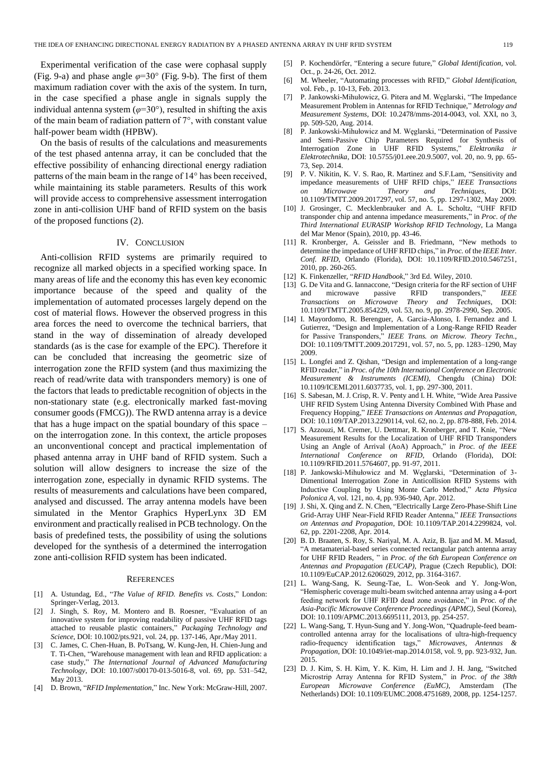Experimental verification of the case were cophasal supply (Fig. 9-a) and phase angle *φ*=30° (Fig. 9-b). The first of them maximum radiation cover with the axis of the system. In turn, in the case specified a phase angle in signals supply the individual antenna system  $(\varphi=30^{\circ})$ , resulted in shifting the axis of the main beam of radiation pattern of 7°, with constant value half-power beam width (HPBW).

On the basis of results of the calculations and measurements of the test phased antenna array, it can be concluded that the effective possibility of enhancing directional energy radiation patterns of the main beam in the range of 14° has been received, while maintaining its stable parameters. Results of this work will provide access to comprehensive assessment interrogation zone in anti-collision UHF band of RFID system on the basis of the proposed functions (2).

## IV. CONCLUSION

Anti-collision RFID systems are primarily required to recognize all marked objects in a specified working space. In many areas of life and the economy this has even key economic importance because of the speed and quality of the implementation of automated processes largely depend on the cost of material flows. However the observed progress in this area forces the need to overcome the technical barriers, that stand in the way of dissemination of already developed standards (as is the case for example of the EPC). Therefore it can be concluded that increasing the geometric size of interrogation zone the RFID system (and thus maximizing the reach of read/write data with transponders memory) is one of the factors that leads to predictable recognition of objects in the non-stationary state (e.g. electronically marked fast-moving consumer goods (FMCG)). The RWD antenna array is a device that has a huge impact on the spatial boundary of this space – on the interrogation zone. In this context, the article proposes an unconventional concept and practical implementation of phased antenna array in UHF band of RFID system. Such a solution will allow designers to increase the size of the interrogation zone, especially in dynamic RFID systems. The results of measurements and calculations have been compared, analysed and discussed. The array antenna models have been simulated in the Mentor Graphics HyperLynx 3D EM environment and practically realised in PCB technology. On the basis of predefined tests, the possibility of using the solutions developed for the synthesis of a determined the interrogation zone anti-collision RFID system has been indicated.

#### **REFERENCES**

- [1] A. Ustundag, Ed., "*The Value of RFID. Benefits vs. Costs*," London: Springer-Verlag, 2013.
- [2] J. Singh, S. Roy, M. Montero and B. Roesner, "Evaluation of an innovative system for improving readability of passive UHF RFID tags attached to reusable plastic containers," *Packaging Technology and Science*, DOI: 10.1002/pts.921, vol. 24, pp. 137-146, Apr./May 2011.
- [3] C. James, C. Chen-Huan, B. PoTsang, W. Kung-Jen, H. Chien-Jung and T. Ti-Chen, "Warehouse management with lean and RFID application: a case study," *The International Journal of Advanced Manufacturing Technology*, DOI: 10.1007/s00170-013-5016-8, vol. 69, pp. 531–542, May 2013.
- [4] D. Brown, "*RFID Implementation*," Inc. New York: McGraw-Hill, 2007.
- [5] P. Kochendörfer, "Entering a secure future," *Global Identification*, vol. Oct., p. 24-26, Oct. 2012.
- [6] M. Wheeler, "Automating processes with RFID," *Global Identification*, vol. Feb., p. 10-13, Feb. 2013.
- [7] P. Jankowski-Mihułowicz, G. Pitera and M. Węglarski, "The Impedance Measurement Problem in Antennas for RFID Technique," *Metrology and Measurement Systems*, DOI: 10.2478/mms-2014-0043, vol. XXI, no 3, pp. 509-520, Aug. 2014.
- [8] P. Jankowski-Mihułowicz and M. Węglarski, "Determination of Passive and Semi-Passive Chip Parameters Required for Synthesis of Interrogation Zone in UHF RFID Systems," *Elektronika ir Elektrotechnika*, DOI: 10.5755/j01.eee.20.9.5007, vol. 20, no. 9, pp. 65- 73, Sep. 2014.
- [9] P. V. Nikitin, K. V. S. Rao, R. Martinez and S.F.Lam, "Sensitivity and impedance measurements of UHF RFID chips," *IEEE Transactions on Microwave Theory and Techniques*, DOI: 10.1109/TMTT.2009.2017297, vol. 57, no. 5, pp. 1297-1302, May 2009.
- [10] J. Grosinger, C. Mecklenbrauker and A. L. Scholtz, "UHF RFID transponder chip and antenna impedance measurements," in *Proc. of the Third International EURASIP Workshop RFID Technology*, La Manga del Mar Menor (Spain), 2010, pp. 43-46.
- [11] R. Kronberger, A. Geissler and B. Friedmann, "New methods to determine the impedance of UHF RFID chips," in *Proc.* of the *IEEE Inter. Conf. RFID*, Orlando (Florida), DOI: 10.1109/RFID.2010.5467251, 2010, pp. 260-265.
- [12] K. Finkenzeller, "*RFID Handbook*," 3rd Ed. Wiley, 2010.
- [13] G. De Vita and G. Iannaccone, "Design criteria for the RF section of UHF and microwave passive RFID transponders," *IEEE Transactions on Microwave* 10.1109/TMTT.2005.854229, vol. 53, no. 9, pp. 2978-2990, Sep. 2005.
- [14] I. Mayordomo, R. Berenguer, A. Garcia-Alonso, I. Fernandez and I. Gutierrez, "Design and Implementation of a Long-Range RFID Reader for Passive Transponders," *IEEE Trans. on Microw. Theory Techn.*, DOI: 10.1109/TMTT.2009.2017291, vol. 57, no. 5, pp. 1283–1290, May 2009.
- [15] L. Longfei and Z. Qishan, "Design and implementation of a long-range RFID reader," in *Proc. of the 10th International Conference on Electronic Measurement & Instruments (ICEMI)*, Chengdu (China) DOI: 10.1109/ICEMI.2011.6037735, vol. 1, pp. 297-300, 2011.
- [16] S. Sabesan, M. J. Crisp, R. V. Penty and I. H. White, "Wide Area Passive UHF RFID System Using Antenna Diversity Combined With Phase and Frequency Hopping," *IEEE Transactions on Antennas and Propagation*, DOI: 10.1109/TAP.2013.2290114, vol. 62, no. 2, pp. 878-888, Feb. 2014.
- [17] S. Azzouzi, M. Cremer, U. Dettmar, R. Kronberger, and T. Knie, "New Measurement Results for the Localization of UHF RFID Transponders Using an Angle of Arrival (AoA) Approach," in *Proc. of the IEEE International Conference on RFID*, Orlando (Florida), DOI: 10.1109/RFID.2011.5764607, pp. 91-97, 2011.
- [18] P. Jankowski-Mihułowicz and M. Węglarski, "Determination of 3- Dimentional Interrogation Zone in Anticollision RFID Systems with Inductive Coupling by Using Monte Carlo Method," *Acta Physica Polonica A*, vol. 121, no. 4, pp. 936-940, Apr. 2012.
- [19] J. Shi, X. Qing and Z. N. Chen, "Electrically Large Zero-Phase-Shift Line Grid-Array UHF Near-Field RFID Reader Antenna," *IEEE Transactions on Antennas and Propagation*, DOI: 10.1109/TAP.2014.2299824, vol. 62, pp. 2201-2208, Apr. 2014.
- [20] B. D. Braaten, S. Roy, S. Nariyal, M. A. Aziz, B. Ijaz and M. M. Masud, "A metamaterial-based series connected rectangular patch antenna array for UHF RFID Readers, " in *Proc. of the 6th European Conference on Antennas and Propagation (EUCAP)*, Prague (Czech Republic), DOI: 10.1109/EuCAP.2012.6206029, 2012, pp. 3164-3167.
- [21] L. Wang-Sang, K. Seung-Tae, L. Won-Seok and Y. Jong-Won, "Hemispheric coverage multi-beam switched antenna array using a 4-port feeding network for UHF RFID dead zone avoidance," in *Proc. of the Asia-Pacific Microwave Conference Proceedings (APMC)*, Seul (Korea), DOI: 10.1109/APMC.2013.6695111, 2013, pp. 254-257.
- [22] L. Wang-Sang, T. Hyun-Sung and Y. Jong-Won, "Quadruple-feed beamcontrolled antenna array for the localisations of ultra-high-frequency radio-frequency identification tags," *Microwaves, Antennas & Propagation*, DOI: 10.1049/iet-map.2014.0158, vol. 9, pp. 923-932, Jun. 2015.
- [23] D. J. Kim, S. H. Kim, Y. K. Kim, H. Lim and J. H. Jang, "Switched Microstrip Array Antenna for RFID System," in *Proc. of the 38th European Microwave Conference (EuMC),* Amsterdam (The Netherlands) DOI: 10.1109/EUMC.2008.4751689, 2008, pp. 1254-1257.